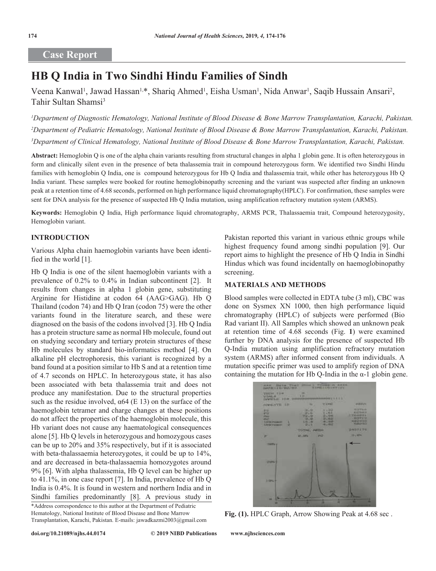# **Case Report**

# **HB Q India in Two Sindhi Hindu Families of Sindh**

Veena Kanwal<sup>1</sup>, Jawad Hassan<sup>1,\*</sup>, Shariq Ahmed<sup>1</sup>, Eisha Usman<sup>1</sup>, Nida Anwar<sup>1</sup>, Saqib Hussain Ansari<sup>2</sup>, Tahir Sultan Shamsi<sup>3</sup>

*1 Department of Diagnostic Hematology, National Institute of Blood Disease & Bone Marrow Transplantation, Karachi, Pakistan. 2 Department of Pediatric Hematology, National Institute of Blood Disease & Bone Marrow Transplantation, Karachi, Pakistan. 3 Department of Clinical Hematology, National Institute of Blood Disease & Bone Marrow Transplantation, Karachi, Pakistan.*

**Abstract:** Hemoglobin Q is one of the alpha chain variants resulting from structural changes in alpha 1 globin gene. It is often heterozygous in form and clinically silent even in the presence of beta thalassemia trait in compound heterozygous form. We identified two Sindhi Hindu families with hemoglobin O India, one is compound heterozygous for Hb O India and thalassemia trait, while other has heterozygous Hb O India variant. These samples were booked for routine hemoglobinopathy screening and the variant was suspected after finding an unknown peak at a retention time of 4.68 seconds, performed on high performance liquid chromatography(HPLC). For confirmation, these samples were sent for DNA analysis for the presence of suspected Hb Q India mutation, using amplification refractory mutation system (ARMS).

**Keywords:** Hemoglobin Q India, High performance liquid chromatography, ARMS PCR, Thalassaemia trait, Compound heterozygosity, Hemoglobin variant.

### **INTRODUCTION**

Various Alpha chain haemoglobin variants have been identified in the world [1].

Hb Q India is one of the silent haemoglobin variants with a prevalence of 0.2% to 0.4% in Indian subcontinent [2]. It results from changes in alpha 1 globin gene, substituting Arginine for Histidine at codon 64 (AAG>GAG). Hb Q Thailand (codon 74) and Hb Q Iran (codon 75) were the other variants found in the literature search, and these were diagnosed on the basis of the codons involved [3]. Hb Q India has a protein structure same as normal Hb molecule, found out on studying secondary and tertiary protein structures of these Hb molecules by standard bio-informatics method [4]. On alkaline pH electrophoresis, this variant is recognized by a band found at a position similar to Hb S and at a retention time of 4.7 seconds on HPLC. In heterozygous state, it has also been associated with beta thalassemia trait and does not produce any manifestation. Due to the structural properties such as the residue involved,  $\alpha$ 64 (E 13) on the surface of the haemoglobin tetramer and charge changes at these positions do not affect the properties of the haemoglobin molecule, this Hb variant does not cause any haematological consequences alone [5]. Hb Q levels in heterozygous and homozygous cases can be up to 20% and 35% respectively, but if it is associated with beta-thalassaemia heterozygotes, it could be up to 14%, and are decreased in beta-thalassaemia homozygotes around 9% [6]. With alpha thalassemia, Hb Q level can be higher up to 41.1%, in one case report [7]. In India, prevalence of Hb Q India is 0.4%. It is found in western and northern India and in Sindhi families predominantly [8]. A previous study in

\*Address correspondence to this author at the Department of Pediatric Hematology, National Institute of Blood Disease and Bone Marrow Transplantation, Karachi, Pakistan. E-mails: jawadkazmi2003@gmail.com

Pakistan reported this variant in various ethnic groups while highest frequency found among sindhi population [9]. Our report aims to highlight the presence of Hb Q India in Sindhi Hindus which was found incidentally on haemoglobinopathy screening.

#### **MATERIALS AND METHODS**

Blood samples were collected in EDTA tube (3 ml), CBC was done on Sysmex XN 1000, then high performance liquid chromatography (HPLC) of subjects were performed (Bio Rad variant II). All Samples which showed an unknown peak at retention time of 4.68 seconds (Fig. **1**) were examined further by DNA analysis for the presence of suspected Hb Q-India mutation using amplification refractory mutation system (ARMS) after informed consent from individuals. A mutation specific primer was used to amplify region of DNA containing the mutation for Hb Q-India in the  $\alpha$ -1 globin gene.



**Fig. (1).** HPLC Graph, Arrow Showing Peak at 4.68 sec .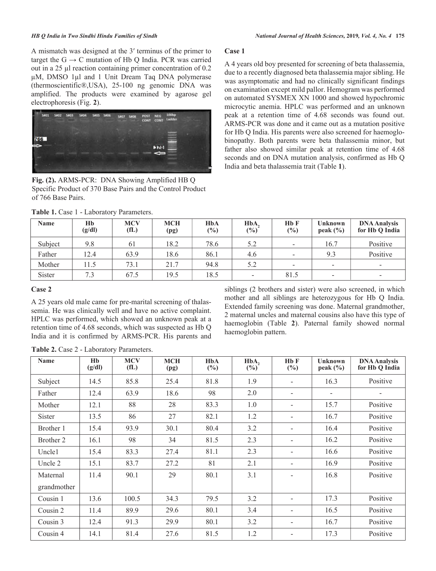A mismatch was designed at the 3′ terminus of the primer to target the  $G \rightarrow C$  mutation of Hb Q India. PCR was carried out in a 25 µl reaction containing primer concentration of 0.2 µM, DMSO 1µl and 1 Unit Dream Taq DNA polymerase (thermoscientific®,USA), 25-100 ng genomic DNA was amplified. The products were examined by agarose gel electrophoresis (Fig. **2**).



**Fig. (2).** ARMS-PCR: DNA Showing Amplified HB Q Specific Product of 370 Base Pairs and the Control Product of 766 Base Pairs.

A 4 years old boy presented for screening of beta thalassemia, due to a recently diagnosed beta thalassemia major sibling. He was asymptomatic and had no clinically significant findings on examination except mild pallor. Hemogram was performed on automated SYSMEX XN 1000 and showed hypochromic microcytic anemia. HPLC was performed and an unknown peak at a retention time of 4.68 seconds was found out. ARMS-PCR was done and it came out as a mutation positive for Hb Q India. His parents were also screened for haemoglobinopathy. Both parents were beta thalassemia minor, but father also showed similar peak at retention time of 4.68 seconds and on DNA mutation analysis, confirmed as Hb Q India and beta thalassemia trait (Table **1**).

| <b>Name</b> | Hb<br>(g/dl) | <b>MCV</b><br>(fL) | <b>MCH</b><br>(pg) | HbA<br>$\frac{6}{2}$ | HbA.<br>$(\%)$ | H <sub>b</sub> F<br>(%)  | Unknown<br>peak $(\% )$  | <b>DNA Analysis</b><br>for Hb Q India |
|-------------|--------------|--------------------|--------------------|----------------------|----------------|--------------------------|--------------------------|---------------------------------------|
| Subject     | 9.8          | 61                 | 18.2               | 78.6                 | 5.2            | -                        | 16.7                     | Positive                              |
| Father      | 12.4         | 63.9               | 18.6               | 86.1                 | 4.6            | -                        | 9.3                      | Positive                              |
| Mother      | 11.5         | 73.1               | 21.7               | 94.8                 | 5.2            | $\overline{\phantom{0}}$ | $\overline{\phantom{a}}$ | -                                     |
| Sister      | 7.3          | 67.5               | 19.5               | 18.5                 | -              | 81.5                     |                          | $\overline{\phantom{a}}$              |

**Case 1**

## Table 1. Case 1 - Laboratory Parameters.

#### **Case 2**

A 25 years old male came for pre-marital screening of thalassemia. He was clinically well and have no active complaint. HPLC was performed, which showed an unknown peak at a retention time of 4.68 seconds, which was suspected as Hb Q India and it is confirmed by ARMS-PCR. His parents and

siblings (2 brothers and sister) were also screened, in which mother and all siblings are heterozygous for Hb Q India. Extended family screening was done. Maternal grandmother, 2 maternal uncles and maternal cousins also have this type of haemoglobin (Table **2**). Paternal family showed normal haemoglobin pattern.

|  |  |  |  | Table 2. Case 2 - Laboratory Parameters. |
|--|--|--|--|------------------------------------------|
|--|--|--|--|------------------------------------------|

| Name          | Hb<br>(g/dl) | <b>MCV</b><br>f(L) | <b>MCH</b><br>(pg) | <b>HbA</b><br>$(\%)$ | HbA,<br>$(\%)^{(0)}$ | H <sub>b</sub> F<br>(%)  | Unknown<br>peak $(\% )$ | <b>DNA Analysis</b><br>for Hb Q India |
|---------------|--------------|--------------------|--------------------|----------------------|----------------------|--------------------------|-------------------------|---------------------------------------|
| Subject       | 14.5         | 85.8               | 25.4               | 81.8                 | 1.9                  | -                        | 16.3                    | Positive                              |
| Father        | 12.4         | 63.9               | 18.6               | 98                   | 2.0                  | $\overline{\phantom{a}}$ |                         |                                       |
| Mother        | 12.1         | 88                 | 28                 | 83.3                 | 1.0                  |                          | 15.7                    | Positive                              |
| <b>Sister</b> | 13.5         | 86                 | 27                 | 82.1                 | 1.2                  | ۰                        | 16.7                    | Positive                              |
| Brother 1     | 15.4         | 93.9               | 30.1               | 80.4                 | 3.2                  | Ξ.                       | 16.4                    | Positive                              |
| Brother 2     | 16.1         | 98                 | 34                 | 81.5                 | 2.3                  |                          | 16.2                    | Positive                              |
| Uncle1        | 15.4         | 83.3               | 27.4               | 81.1                 | 2.3                  | -                        | 16.6                    | Positive                              |
| Uncle 2       | 15.1         | 83.7               | 27.2               | 81                   | 2.1                  | -                        | 16.9                    | Positive                              |
| Maternal      | 11.4         | 90.1               | 29                 | 80.1                 | 3.1                  | $\overline{\phantom{0}}$ | 16.8                    | Positive                              |
| grandmother   |              |                    |                    |                      |                      |                          |                         |                                       |
| Cousin 1      | 13.6         | 100.5              | 34.3               | 79.5                 | 3.2                  | -                        | 17.3                    | Positive                              |
| Cousin 2      | 11.4         | 89.9               | 29.6               | 80.1                 | 3.4                  | -                        | 16.5                    | Positive                              |
| Cousin 3      | 12.4         | 91.3               | 29.9               | 80.1                 | 3.2                  | -                        | 16.7                    | Positive                              |
| Cousin 4      | 14.1         | 81.4               | 27.6               | 81.5                 | 1.2                  | $\overline{\phantom{0}}$ | 17.3                    | Positive                              |